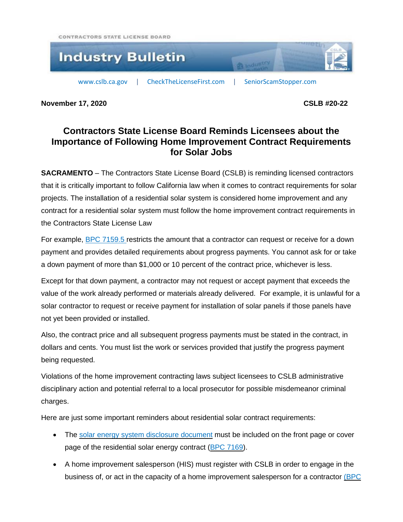CONTRACTORS STATE LICENSE BOARD



**November 17, 2020 CSLB #20-22**

## **Contractors State License Board Reminds Licensees about the Importance of Following Home Improvement Contract Requirements for Solar Jobs**

**SACRAMENTO** – The Contractors State License Board (CSLB) is reminding licensed contractors that it is critically important to follow California law when it comes to contract requirements for solar projects. The installation of a residential solar system is considered home improvement and any contract for a residential solar system must follow the home improvement contract requirements in the Contractors State License Law

For example, BPC [7159.5](http://leginfo.legislature.ca.gov/faces/codes_displaySection.xhtml?sectionNum=7159.5.&lawCode=BPC) restricts the amount that a contractor can request or receive for a down payment and provides detailed requirements about progress payments. You cannot ask for or take a down payment of more than \$1,000 or 10 percent of the contract price, whichever is less.

Except for that down payment, a contractor may not request or accept payment that exceeds the value of the work already performed or materials already delivered. For example, it is unlawful for a solar contractor to request or receive payment for installation of solar panels if those panels have not yet been provided or installed.

Also, the contract price and all subsequent progress payments must be stated in the contract, in dollars and cents. You must list the work or services provided that justify the progress payment being requested.

Violations of the home improvement contracting laws subject licensees to CSLB administrative disciplinary action and potential referral to a local prosecutor for possible misdemeanor criminal charges.

Here are just some important reminders about residential solar contract requirements:

- The solar energy system [disclosure](https://www.cslb.ca.gov/Resources/Contractors/SolarDisclosureDoc.pdf) document must be included on the front page or cover page of the residential solar energy contract (BPC [7169\)](https://leginfo.legislature.ca.gov/faces/codes_displaySection.xhtml?lawCode=BPC§ionNum=7169.).
- A home improvement salesperson (HIS) must register with CSLB in order to engage in the business of, or act in the capacity of a home improvement salesperson for a contractor [\(BPC](http://leginfo.legislature.ca.gov/faces/codes_displaySection.xhtml?lawCode=BPC§ionNum=7153.)